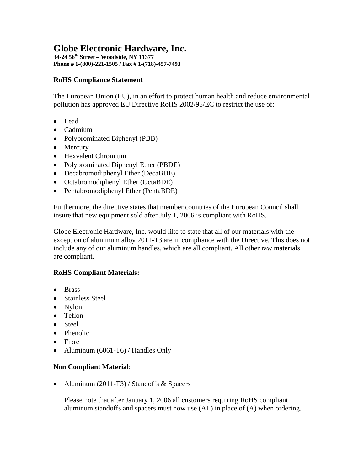# **Globe Electronic Hardware, Inc.**

**34-24 56th Street – Woodside, NY 11377 Phone # 1-(800)-221-1505 / Fax # 1-(718)-457-7493** 

### **RoHS Compliance Statement**

The European Union (EU), in an effort to protect human health and reduce environmental pollution has approved EU Directive RoHS 2002/95/EC to restrict the use of:

- Lead
- Cadmium
- Polybrominated Biphenyl (PBB)
- Mercury
- Hexvalent Chromium
- Polybrominated Diphenyl Ether (PBDE)
- Decabromodiphenyl Ether (DecaBDE)
- Octabromodiphenyl Ether (OctaBDE)
- Pentabromodiphenyl Ether (PentaBDE)

Furthermore, the directive states that member countries of the European Council shall insure that new equipment sold after July 1, 2006 is compliant with RoHS.

Globe Electronic Hardware, Inc. would like to state that all of our materials with the exception of aluminum alloy 2011-T3 are in compliance with the Directive. This does not include any of our aluminum handles, which are all compliant. All other raw materials are compliant.

# **RoHS Compliant Materials:**

- Brass
- Stainless Steel
- Nylon
- Teflon
- Steel
- Phenolic
- Fibre
- Aluminum (6061-T6) / Handles Only

#### **Non Compliant Material**:

• Aluminum (2011-T3) / Standoffs & Spacers

Please note that after January 1, 2006 all customers requiring RoHS compliant aluminum standoffs and spacers must now use (AL) in place of (A) when ordering.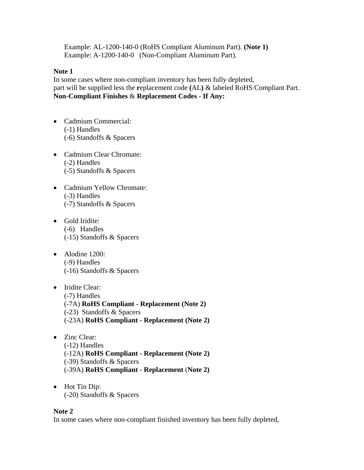Example: AL-1200-140-0 (RoHS Compliant Aluminum Part). **(Note 1)** Example: A-1200-140-0 (Non-Compliant Aluminum Part).

#### **Note 1**

In some cases where non-compliant inventory has been fully depleted, part will be supplied less the **r**eplacement code **(**AL**)** & labeled RoHS Compliant Part. **Non**-**Compliant Finishes** & **Replacement Codes - If Any:**

- Cadmium Commercial: (-1) Handles (-6) Standoffs & Spacers
- Cadmium Clear Chromate: (-2) Handles (-5) Standoffs & Spacers
- Cadmium Yellow Chromate: (-3) Handles (-7) Standoffs & Spacers
- Gold Iridite: (-6) Handles (-15) Standoffs & Spacers
- Alodine 1200: (-9) Handles (-16) Standoffs & Spacers
- Iridite Clear: (-7) Handles (-7A) **RoHS Compliant - Replacement (Note 2)** (-23) Standoffs & Spacers (-23A) **RoHS Compliant - Replacement (Note 2)**
- Zinc Clear: (-12) Handles (-12A) **RoHS Compliant - Replacement (Note 2)**  (-39) Standoffs & Spacers (-39A) **RoHS Compliant** - **Replacement** (**Note 2)**
- Hot Tin Dip: (-20) Standoffs & Spacers

#### **Note 2**

In some cases where non-compliant finished inventory has been fully depleted,